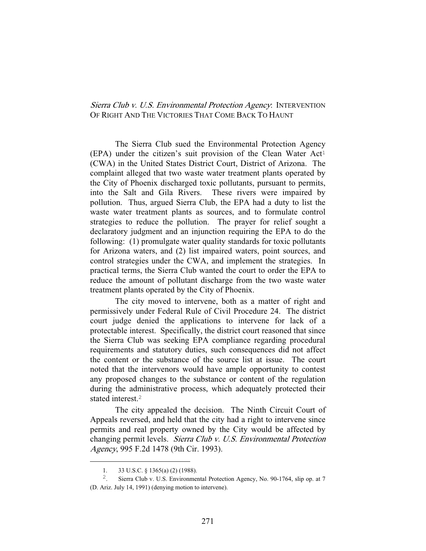## Sierra Club v. U.S. Environmental Protection Agency: INTERVENTION OF RIGHT AND THE VICTORIES THAT COME BACK TO HAUNT

 The Sierra Club sued the Environmental Protection Agency  $(EPA)$  under the citizen's suit provision of the Clean Water Act<sup>1</sup> (CWA) in the United States District Court, District of Arizona. The complaint alleged that two waste water treatment plants operated by the City of Phoenix discharged toxic pollutants, pursuant to permits, into the Salt and Gila Rivers. These rivers were impaired by pollution. Thus, argued Sierra Club, the EPA had a duty to list the waste water treatment plants as sources, and to formulate control strategies to reduce the pollution. The prayer for relief sought a declaratory judgment and an injunction requiring the EPA to do the following: (1) promulgate water quality standards for toxic pollutants for Arizona waters, and (2) list impaired waters, point sources, and control strategies under the CWA, and implement the strategies. In practical terms, the Sierra Club wanted the court to order the EPA to reduce the amount of pollutant discharge from the two waste water treatment plants operated by the City of Phoenix.

 The city moved to intervene, both as a matter of right and permissively under Federal Rule of Civil Procedure 24. The district court judge denied the applications to intervene for lack of a protectable interest. Specifically, the district court reasoned that since the Sierra Club was seeking EPA compliance regarding procedural requirements and statutory duties, such consequences did not affect the content or the substance of the source list at issue. The court noted that the intervenors would have ample opportunity to contest any proposed changes to the substance or content of the regulation during the administrative process, which adequately protected their stated interest.<sup>2</sup>

 The city appealed the decision. The Ninth Circuit Court of Appeals reversed, and held that the city had a right to intervene since permits and real property owned by the City would be affected by changing permit levels. Sierra Club v. U.S. Environmental Protection Agency, 995 F.2d 1478 (9th Cir. 1993).

 $\overline{\phantom{0}}$ 

<sup>1. 33</sup> U.S.C. § 1365(a) (2) (1988).

<sup>&</sup>lt;sup>2</sup>. Sierra Club v. U.S. Environmental Protection Agency, No. 90-1764, slip op. at 7 (D. Ariz. July 14, 1991) (denying motion to intervene).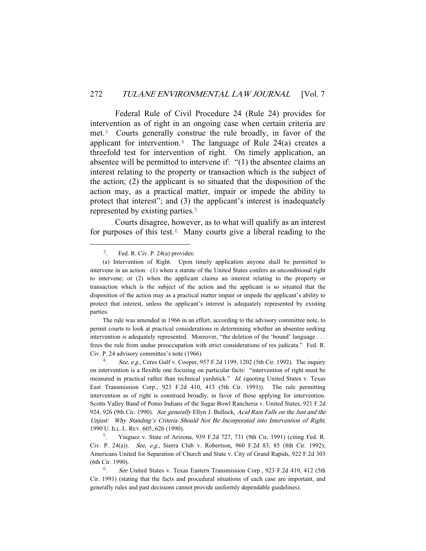Federal Rule of Civil Procedure 24 (Rule 24) provides for intervention as of right in an ongoing case when certain criteria are met.3 Courts generally construe the rule broadly, in favor of the applicant for intervention.<sup>4</sup> The language of Rule 24(a) creates a threefold test for intervention of right. On timely application, an absentee will be permitted to intervene if: "(1) the absentee claims an interest relating to the property or transaction which is the subject of the action; (2) the applicant is so situated that the disposition of the action may, as a practical matter, impair or impede the ability to protect that interest"; and (3) the applicant's interest is inadequately represented by existing parties.<sup>5</sup>

 Courts disagree, however, as to what will qualify as an interest for purposes of this test.<sup> $6$ </sup> Many courts give a liberal reading to the

 The rule was amended in 1966 in an effort, according to the advisory committee note, to permit courts to look at practical considerations in determining whether an absentee seeking intervention is adequately represented. Moreover, "the deletion of the 'bound' language . . . frees the rule from undue preoccupation with strict considerations of res judicata." Fed. R. Civ. P. 24 advisory committee's note (1966).

 $3.$  Fed. R. Civ. P. 24(a) provides:

 <sup>(</sup>a) Intervention of Right. Upon timely application anyone shall be permitted to intervene in an action: (1) when a statute of the United States confers an unconditional right to intervene; or (2) when the applicant claims an interest relating to the property or transaction which is the subject of the action and the applicant is so situated that the disposition of the action may as a practical matter impair or impede the applicant's ability to protect that interest, unless the applicant's interest is adequately represented by existing parties.

<sup>&</sup>lt;sup>4</sup>. See, e.g., Ceres Gulf v. Cooper, 957 F.2d 1199, 1202 (5th Cir. 1992). The inquiry on intervention is a flexible one focusing on particular facts: "intervention of right must be measured in practical rather than technical yardstick." Id. (quoting United States v. Texas East Transmission Corp., 923 F.2d 410, 413 (5th Cir. 1991)). The rule permitting intervention as of right is construed broadly, in favor of those applying for intervention. Scotts Valley Band of Pomo Indians of the Sugar Bowl Rancheria v. United States, 921 F.2d 924, 926 (9th Cir. 1990). See generally Ellyn J. Bullock, Acid Rain Falls on the Just and the Unjust: Why Standing's Criteria Should Not Be Incorporated into Intervention of Right, 1990 U. ILL. L. REV. 605, 626 (1990).

<sup>5</sup>. Yniguez v. State of Arizona, 939 F.2d 727, 731 (9th Cir. 1991) (citing Fed. R. Civ. P. 24(a)). See, e.g., Sierra Club v. Robertson, 960 F.2d 83, 85 (8th Cir. 1992); Americans United for Separation of Church and State v. City of Grand Rapids, 922 F.2d 303 (6th Cir. 1990).

<sup>6</sup>. See United States v. Texas Eastern Transmission Corp., 923 F.2d 410, 412 (5th Cir. 1991) (stating that the facts and procedural situations of each case are important, and generally rules and past decisions cannot provide uniformly dependable guidelines).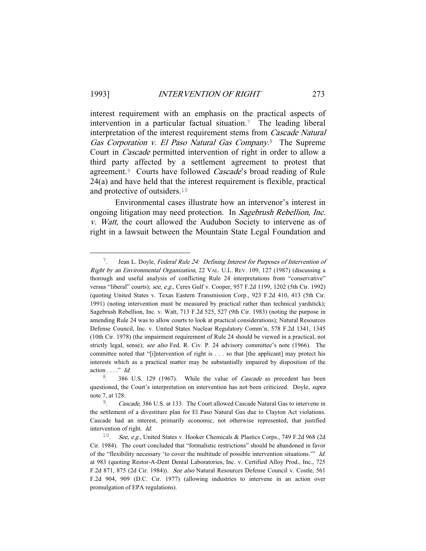interest requirement with an emphasis on the practical aspects of intervention in a particular factual situation.7 The leading liberal interpretation of the interest requirement stems from Cascade Natural Gas Corporation v. El Paso Natural Gas Company.<sup>8</sup> The Supreme Court in Cascade permitted intervention of right in order to allow a third party affected by a settlement agreement to protest that agreement.<sup>9</sup> Courts have followed *Cascade*'s broad reading of Rule 24(a) and have held that the interest requirement is flexible, practical and protective of outsiders.<sup>10</sup>

 Environmental cases illustrate how an intervenor's interest in ongoing litigation may need protection. In Sagebrush Rebellion, Inc. v. Watt, the court allowed the Audubon Society to intervene as of right in a lawsuit between the Mountain State Legal Foundation and

 <sup>7</sup>. Jean L. Doyle, Federal Rule 24: Defining Interest for Purposes of Intervention of Right by an Environmental Organization, 22 VAL. U.L. REV. 109, 127 (1987) (discussing a thorough and useful analysis of conflicting Rule 24 interpretations from "conservative" versus "liberal" courts); see, e.g., Ceres Gulf v. Cooper, 957 F.2d 1199, 1202 (5th Cir. 1992) (quoting United States v. Texas Eastern Transmission Corp., 923 F.2d 410, 413 (5th Cir. 1991) (noting intervention must be measured by practical rather than technical yardstick); Sagebrush Rebellion, Inc. v. Watt, 713 F.2d 525, 527 (9th Cir. 1983) (noting the purpose in amending Rule 24 was to allow courts to look at practical considerations); Natural Resources Defense Council, Inc. v. United States Nuclear Regulatory Comm'n, 578 F.2d 1341, 1345 (10th Cir. 1978) (the impairment requirement of Rule 24 should be viewed in a practical, not strictly legal, sense); see also Fed. R. Civ. P. 24 advisory committee's note (1966). The committee noted that "[i]ntervention of right is . . . so that [the applicant] may protect his interests which as a practical matter may be substantially impaired by disposition of the action  $\ldots$ ." Id.

<sup>&</sup>lt;sup>8</sup>. 386 U.S. 129 (1967). While the value of *Cascade* as precedent has been questioned, the Court's interpretation on intervention has not been criticized. Doyle, *supra* note 7, at 128.

<sup>&</sup>lt;sup>9</sup>. Cascade, 386 U.S. at 133. The Court allowed Cascade Natural Gas to intervene in the settlement of a divestiture plan for El Paso Natural Gas due to Clayton Act violations. Cascade had an interest, primarily economic, not otherwise represented, that justified intervention of right. Id.

<sup>&</sup>lt;sup>10</sup>. See, e.g., United States v. Hooker Chemicals & Plastics Corps., 749 F.2d 968 (2d) Cir. 1984). The court concluded that "formalistic restrictions" should be abandoned in favor of the "flexibility necessary 'to cover the multitude of possible intervention situations.'" Id. at 983 (quoting Restor-A-Dent Dental Laboratories, Inc. v. Certified Alloy Prod., Inc., 725 F.2d 871, 875 (2d Cir. 1984)). See also Natural Resources Defense Council v. Costle, 561 F.2d 904, 909 (D.C. Cir. 1977) (allowing industries to intervene in an action over promulgation of EPA regulations).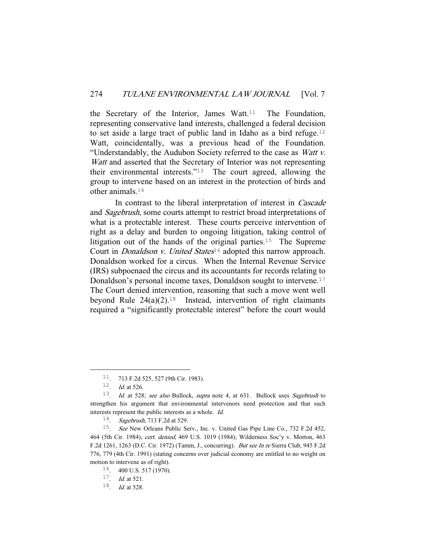the Secretary of the Interior, James Watt.<sup>11</sup> The Foundation, representing conservative land interests, challenged a federal decision to set aside a large tract of public land in Idaho as a bird refuge.<sup>12</sup> Watt, coincidentally, was a previous head of the Foundation. "Understandably, the Audubon Society referred to the case as Watt v. Watt and asserted that the Secretary of Interior was not representing their environmental interests."13 The court agreed, allowing the group to intervene based on an interest in the protection of birds and other animals.<sup>14</sup>

 In contrast to the liberal interpretation of interest in Cascade and Sagebrush, some courts attempt to restrict broad interpretations of what is a protectable interest. These courts perceive intervention of right as a delay and burden to ongoing litigation, taking control of litigation out of the hands of the original parties.<sup>15</sup> The Supreme Court in *Donaldson v. United States*<sup>16</sup> adopted this narrow approach. Donaldson worked for a circus. When the Internal Revenue Service (IRS) subpoenaed the circus and its accountants for records relating to Donaldson's personal income taxes, Donaldson sought to intervene.<sup>17</sup> The Court denied intervention, reasoning that such a move went well beyond Rule  $24(a)(2)$ .<sup>18</sup> Instead, intervention of right claimants required a "significantly protectable interest" before the court would

 <sup>11</sup>. 713 F.2d 525, 527 (9th Cir. 1983).

<sup>&</sup>lt;sup>12</sup>. *Id.* at 526.

<sup>&</sup>lt;sup>13</sup>. *Id.* at 528; see also Bullock, supra note 4, at 631. Bullock uses Sagebrush to strengthen his argument that environmental intervenors need protection and that such interests represent the public interests as a whole. Id.

<sup>14</sup>. Sagebrush, 713 F.2d at 529.

<sup>15</sup>. See New Orleans Public Serv., Inc. v. United Gas Pipe Line Co., 732 F.2d 452, 464 (5th Cir. 1984), cert. denied, 469 U.S. 1019 (1984); Wilderness Soc'y v. Morton, 463 F.2d 1261, 1263 (D.C. Cir. 1972) (Tamm, J., concurring). But see In re Sierra Club, 945 F.2d 776, 779 (4th Cir. 1991) (stating concerns over judicial economy are entitled to no weight on motion to intervene as of right).

 $16.$  400 U.S. 517 (1970).

 $17.$  *Id.* at 521.

 $18.$  *Id.* at 528.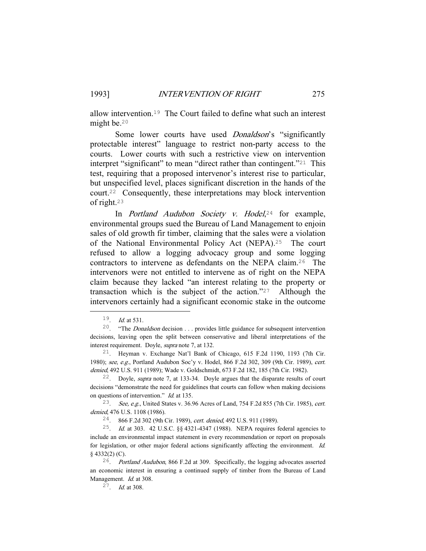allow intervention.19 The Court failed to define what such an interest might be.<sup>20</sup>

Some lower courts have used *Donaldson*'s "significantly protectable interest" language to restrict non-party access to the courts. Lower courts with such a restrictive view on intervention interpret "significant" to mean "direct rather than contingent."21 This test, requiring that a proposed intervenor's interest rise to particular, but unspecified level, places significant discretion in the hands of the court.22 Consequently, these interpretations may block intervention of right.<sup>23</sup>

In *Portland Audubon Society v. Hodel*,<sup>24</sup> for example, environmental groups sued the Bureau of Land Management to enjoin sales of old growth fir timber, claiming that the sales were a violation of the National Environmental Policy Act (NEPA).25 The court refused to allow a logging advocacy group and some logging contractors to intervene as defendants on the NEPA claim.26 The intervenors were not entitled to intervene as of right on the NEPA claim because they lacked "an interest relating to the property or transaction which is the subject of the action."27 Although the intervenors certainly had a significant economic stake in the outcome

 $19.$  Id. at 531.

<sup>&</sup>lt;sup>20</sup>. "The *Donaldson* decision . . . provides little guidance for subsequent intervention decisions, leaving open the split between conservative and liberal interpretations of the interest requirement. Doyle, supra note 7, at 132.

<sup>21</sup>. Heyman v. Exchange Nat'l Bank of Chicago, 615 F.2d 1190, 1193 (7th Cir. 1980); see, e.g., Portland Audubon Soc'y v. Hodel, 866 F.2d 302, 309 (9th Cir. 1989), cert. denied, 492 U.S. 911 (1989); Wade v. Goldschmidt, 673 F.2d 182, 185 (7th Cir. 1982).

<sup>22</sup>. Doyle, supra note 7, at 133-34. Doyle argues that the disparate results of court decisions "demonstrate the need for guidelines that courts can follow when making decisions on questions of intervention." Id. at 135.

<sup>&</sup>lt;sup>23</sup>. See, e.g., United States v. 36.96 Acres of Land, 754 F.2d 855 (7th Cir. 1985), cert. denied, 476 U.S. 1108 (1986).

<sup>24</sup>. 866 F.2d 302 (9th Cir. 1989), cert. denied, 492 U.S. 911 (1989).

<sup>&</sup>lt;sup>25</sup>. *Id.* at 303. 42 U.S.C.  $\S\S 4321-4347$  (1988). NEPA requires federal agencies to include an environmental impact statement in every recommendation or report on proposals for legislation, or other major federal actions significantly affecting the environment. Id. § 4332(2) (C).

<sup>26</sup>. Portland Audubon, 866 F.2d at 309. Specifically, the logging advocates asserted an economic interest in ensuring a continued supply of timber from the Bureau of Land Management. *Id.* at 308.

 $27$ . *Id.* at 308.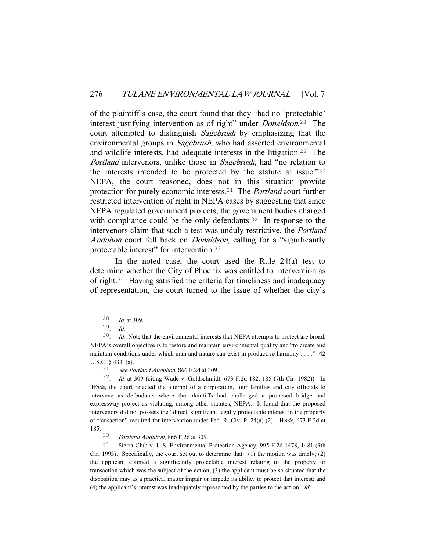of the plaintiff's case, the court found that they "had no 'protectable' interest justifying intervention as of right" under *Donaldson*.<sup>28</sup> The court attempted to distinguish Sagebrush by emphasizing that the environmental groups in *Sagebrush*, who had asserted environmental and wildlife interests, had adequate interests in the litigation.29 The Portland intervenors, unlike those in Sagebrush, had "no relation to the interests intended to be protected by the statute at issue."<sup>30</sup> NEPA, the court reasoned, does not in this situation provide protection for purely economic interests.<sup>31</sup> The *Portland* court further restricted intervention of right in NEPA cases by suggesting that since NEPA regulated government projects, the government bodies charged with compliance could be the only defendants.<sup>32</sup> In response to the intervenors claim that such a test was unduly restrictive, the Portland Audubon court fell back on *Donaldson*, calling for a "significantly protectable interest" for intervention.<sup>33</sup>

In the noted case, the court used the Rule  $24(a)$  test to determine whether the City of Phoenix was entitled to intervention as of right.34 Having satisfied the criteria for timeliness and inadequacy of representation, the court turned to the issue of whether the city's

 $\frac{28}{29}$ . *Id.* at 309.

 $Id.$ 

 $30$ . *Id.* Note that the environmental interests that NEPA attempts to protect are broad. NEPA's overall objective is to restore and maintain environmental quality and "to create and maintain conditions under which man and nature can exist in productive harmony . . . ." 42 U.S.C. § 4331(a).

 $31.$  See Portland Audubon, 866 F.2d at 309.

<sup>32</sup>. Id. at 309 (citing Wade v. Goldschmidt, 673 F.2d 182, 185 (7th Cir. 1982)). In Wade, the court rejected the attempt of a corporation, four families and city officials to intervene as defendants where the plaintiffs had challenged a proposed bridge and expressway project as violating, among other statutes, NEPA. It found that the proposed intervenors did not possess the "direct, significant legally protectable interest in the property or transaction" required for intervention under Fed. R. Civ. P. 24(a) (2). Wade, 673 F.2d at 185.

<sup>33</sup>. Portland Audubon, 866 F.2d at 309.

<sup>34</sup>. Sierra Club v. U.S. Environmental Protection Agency, 995 F.2d 1478, 1481 (9th Cir. 1993). Specifically, the court set out to determine that: (1) the motion was timely; (2) the applicant claimed a significantly protectable interest relating to the property or transaction which was the subject of the action; (3) the applicant must be so situated that the disposition may as a practical matter impair or impede its ability to protect that interest; and (4) the applicant's interest was inadequately represented by the parties to the action. Id.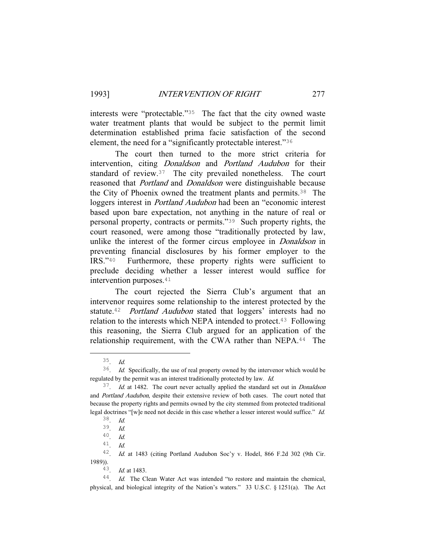interests were "protectable."35 The fact that the city owned waste water treatment plants that would be subject to the permit limit determination established prima facie satisfaction of the second element, the need for a "significantly protectable interest."<sup>36</sup>

 The court then turned to the more strict criteria for intervention, citing *Donaldson* and *Portland Audubon* for their standard of review.37 The city prevailed nonetheless. The court reasoned that Portland and Donaldson were distinguishable because the City of Phoenix owned the treatment plants and permits.38 The loggers interest in *Portland Audubon* had been an "economic interest based upon bare expectation, not anything in the nature of real or personal property, contracts or permits."39 Such property rights, the court reasoned, were among those "traditionally protected by law, unlike the interest of the former circus employee in *Donaldson* in preventing financial disclosures by his former employer to the IRS."40 Furthermore, these property rights were sufficient to preclude deciding whether a lesser interest would suffice for intervention purposes.<sup>41</sup>

 The court rejected the Sierra Club's argument that an intervenor requires some relationship to the interest protected by the statute.<sup>42</sup> Portland Audubon stated that loggers' interests had no relation to the interests which NEPA intended to protect.<sup>43</sup> Following this reasoning, the Sierra Club argued for an application of the relationship requirement, with the CWA rather than NEPA.<sup>44</sup> The

43. Id. at 1483.

 $35$ . *Id.* 

<sup>36</sup>. Id. Specifically, the use of real property owned by the intervenor which would be regulated by the permit was an interest traditionally protected by law. Id.

<sup>37</sup>. Id. at 1482. The court never actually applied the standard set out in Donaldson and Portland Audubon, despite their extensive review of both cases. The court noted that because the property rights and permits owned by the city stemmed from protected traditional legal doctrines "[w]e need not decide in this case whether a lesser interest would suffice." Id. 38. Id.

<sup>39</sup>. Id.

<sup>40</sup>. Id.

 $41$  *Id.* 

<sup>42</sup>. Id. at 1483 (citing Portland Audubon Soc'y v. Hodel, 866 F.2d 302 (9th Cir. 1989)).

<sup>&</sup>lt;sup>44</sup>. Id. The Clean Water Act was intended "to restore and maintain the chemical, physical, and biological integrity of the Nation's waters." 33 U.S.C. § 1251(a). The Act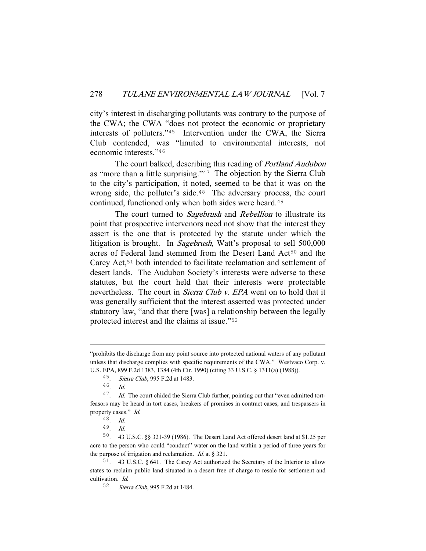city's interest in discharging pollutants was contrary to the purpose of the CWA; the CWA "does not protect the economic or proprietary interests of polluters."45 Intervention under the CWA, the Sierra Club contended, was "limited to environmental interests, not economic interests."<sup>46</sup>

The court balked, describing this reading of *Portland Audubon* as "more than a little surprising."47 The objection by the Sierra Club to the city's participation, it noted, seemed to be that it was on the wrong side, the polluter's side.<sup>48</sup> The adversary process, the court continued, functioned only when both sides were heard.<sup>49</sup>

The court turned to *Sagebrush* and *Rebellion* to illustrate its point that prospective intervenors need not show that the interest they assert is the one that is protected by the statute under which the litigation is brought. In *Sagebrush*, Watt's proposal to sell 500,000 acres of Federal land stemmed from the Desert Land Act<sup>50</sup> and the Carey Act,51 both intended to facilitate reclamation and settlement of desert lands. The Audubon Society's interests were adverse to these statutes, but the court held that their interests were protectable nevertheless. The court in *Sierra Club v. EPA* went on to hold that it was generally sufficient that the interest asserted was protected under statutory law, "and that there [was] a relationship between the legally protected interest and the claims at issue."<sup>52</sup>

i<br>Li

<sup>&</sup>quot;prohibits the discharge from any point source into protected national waters of any pollutant unless that discharge complies with specific requirements of the CWA." Westvaco Corp. v. U.S. EPA, 899 F.2d 1383, 1384 (4th Cir. 1990) (citing 33 U.S.C. § 1311(a) (1988)).

<sup>&</sup>lt;sup>45</sup>. *Sierra Club*, 995 F.2d at 1483.

 $Id.$ 

 $47.$  Id. The court chided the Sierra Club further, pointing out that "even admitted tortfeasors may be heard in tort cases, breakers of promises in contract cases, and trespassers in property cases." Id.

 $\frac{48}{49}$ . *Id.* 

<sup>49</sup>. Id.

<sup>50</sup>. 43 U.S.C. §§ 321-39 (1986). The Desert Land Act offered desert land at \$1.25 per acre to the person who could "conduct" water on the land within a period of three years for the purpose of irrigation and reclamation. *Id.* at  $\S$  321.

<sup>51</sup>. 43 U.S.C. § 641. The Carey Act authorized the Secretary of the Interior to allow states to reclaim public land situated in a desert free of charge to resale for settlement and cultivation. Id.

<sup>52</sup>. Sierra Club, 995 F.2d at 1484.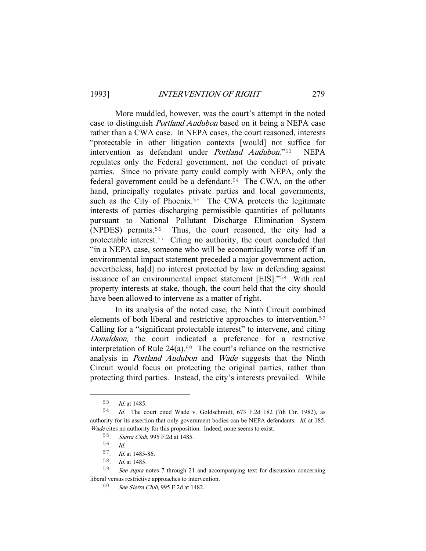More muddled, however, was the court's attempt in the noted case to distinguish Portland Audubon based on it being a NEPA case rather than a CWA case. In NEPA cases, the court reasoned, interests "protectable in other litigation contexts [would] not suffice for intervention as defendant under Portland Audubon."53 NEPA regulates only the Federal government, not the conduct of private parties. Since no private party could comply with NEPA, only the federal government could be a defendant.<sup>54</sup> The CWA, on the other hand, principally regulates private parties and local governments, such as the City of Phoenix.<sup>55</sup> The CWA protects the legitimate interests of parties discharging permissible quantities of pollutants pursuant to National Pollutant Discharge Elimination System (NPDES) permits.56 Thus, the court reasoned, the city had a protectable interest.57 Citing no authority, the court concluded that "in a NEPA case, someone who will be economically worse off if an environmental impact statement preceded a major government action, nevertheless, ha[d] no interest protected by law in defending against issuance of an environmental impact statement [EIS]."58 With real property interests at stake, though, the court held that the city should have been allowed to intervene as a matter of right.

 In its analysis of the noted case, the Ninth Circuit combined elements of both liberal and restrictive approaches to intervention.<sup>59</sup> Calling for a "significant protectable interest" to intervene, and citing Donaldson, the court indicated a preference for a restrictive interpretation of Rule  $24(a)$ .<sup>60</sup> The court's reliance on the restrictive analysis in Portland Audubon and Wade suggests that the Ninth Circuit would focus on protecting the original parties, rather than protecting third parties. Instead, the city's interests prevailed. While

 <sup>53</sup>. Id. at 1485.

<sup>54</sup>. Id. The court cited Wade v. Goldschmidt, 673 F.2d 182 (7th Cir. 1982), as authority for its assertion that only government bodies can be NEPA defendants. *Id.* at 185. Wade cites no authority for this proposition. Indeed, none seems to exist.

<sup>55</sup>. Sierra Club, 995 F.2d at 1485.

<sup>56</sup>. Id.

<sup>57</sup>. Id. at 1485-86.

<sup>58</sup>. Id. at 1485.

<sup>59</sup>. See supra notes 7 through 21 and accompanying text for discussion concerning liberal versus restrictive approaches to intervention.

<sup>60</sup>. See Sierra Club, 995 F.2d at 1482.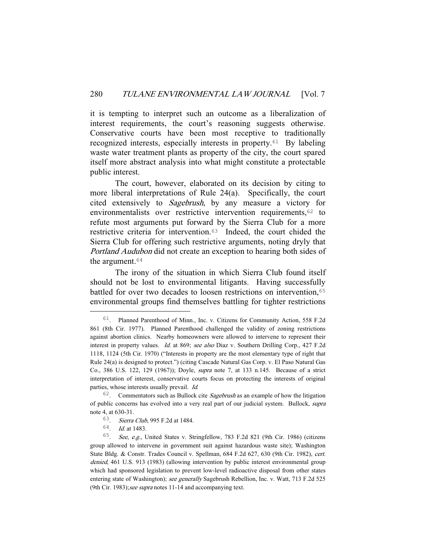it is tempting to interpret such an outcome as a liberalization of interest requirements, the court's reasoning suggests otherwise. Conservative courts have been most receptive to traditionally recognized interests, especially interests in property.61 By labeling waste water treatment plants as property of the city, the court spared itself more abstract analysis into what might constitute a protectable public interest.

 The court, however, elaborated on its decision by citing to more liberal interpretations of Rule 24(a). Specifically, the court cited extensively to Sagebrush, by any measure a victory for environmentalists over restrictive intervention requirements,  $62$  to refute most arguments put forward by the Sierra Club for a more restrictive criteria for intervention.63 Indeed, the court chided the Sierra Club for offering such restrictive arguments, noting dryly that Portland Audubon did not create an exception to hearing both sides of the argument.<sup>64</sup>

 The irony of the situation in which Sierra Club found itself should not be lost to environmental litigants. Having successfully battled for over two decades to loosen restrictions on intervention,<sup>65</sup> environmental groups find themselves battling for tighter restrictions

 <sup>61</sup>. Planned Parenthood of Minn., Inc. v. Citizens for Community Action, 558 F.2d 861 (8th Cir. 1977). Planned Parenthood challenged the validity of zoning restrictions against abortion clinics. Nearby homeowners were allowed to intervene to represent their interest in property values. Id. at 869; see also Diaz v. Southern Drilling Corp., 427 F.2d 1118, 1124 (5th Cir. 1970) ("Interests in property are the most elementary type of right that Rule 24(a) is designed to protect.") (citing Cascade Natural Gas Corp. v. El Paso Natural Gas Co., 386 U.S. 122, 129 (1967)); Doyle, supra note 7, at 133 n.145. Because of a strict interpretation of interest, conservative courts focus on protecting the interests of original parties, whose interests usually prevail. Id.

 $62$ . Commentators such as Bullock cite *Sagebrush* as an example of how the litigation of public concerns has evolved into a very real part of our judicial system. Bullock, supra note 4, at 630-31.

<sup>63</sup>. Sierra Club, 995 F.2d at 1484.

<sup>64</sup>. Id. at 1483.

<sup>65</sup>. See, e.g., United States v. Stringfellow, 783 F.2d 821 (9th Cir. 1986) (citizens group allowed to intervene in government suit against hazardous waste site); Washington State Bldg. & Constr. Trades Council v. Spellman, 684 F.2d 627, 630 (9th Cir. 1982), cert. denied, 461 U.S. 913 (1983) (allowing intervention by public interest environmental group which had sponsored legislation to prevent low-level radioactive disposal from other states entering state of Washington); see generally Sagebrush Rebellion, Inc. v. Watt, 713 F.2d 525 (9th Cir. 1983); see supra notes  $11-14$  and accompanying text.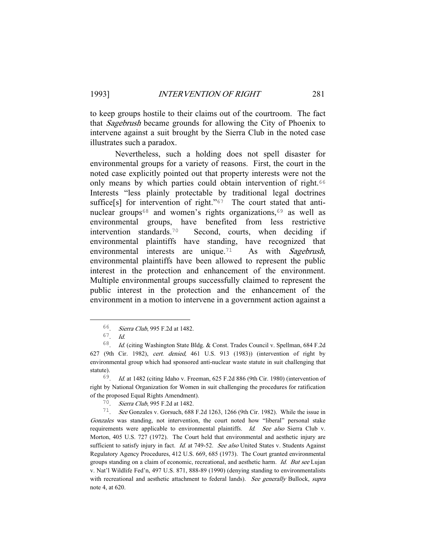to keep groups hostile to their claims out of the courtroom. The fact that Sagebrush became grounds for allowing the City of Phoenix to intervene against a suit brought by the Sierra Club in the noted case illustrates such a paradox.

 Nevertheless, such a holding does not spell disaster for environmental groups for a variety of reasons. First, the court in the noted case explicitly pointed out that property interests were not the only means by which parties could obtain intervention of right.<sup>66</sup> Interests "less plainly protectable by traditional legal doctrines suffice[s] for intervention of right." $67$  The court stated that antinuclear groups<sup>68</sup> and women's rights organizations,<sup>69</sup> as well as environmental groups, have benefited from less restrictive intervention standards.70 Second, courts, when deciding if environmental plaintiffs have standing, have recognized that environmental interests are unique.<sup>71</sup> As with Sagebrush, environmental plaintiffs have been allowed to represent the public interest in the protection and enhancement of the environment. Multiple environmental groups successfully claimed to represent the public interest in the protection and the enhancement of the environment in a motion to intervene in a government action against a

 <sup>66</sup>. Sierra Club, 995 F.2d at 1482.

<sup>67</sup>. Id.

<sup>68</sup>. Id. (citing Washington State Bldg. & Const. Trades Council v. Spellman, 684 F.2d 627 (9th Cir. 1982), cert. denied, 461 U.S. 913 (1983)) (intervention of right by environmental group which had sponsored anti-nuclear waste statute in suit challenging that statute).

<sup>69</sup>. Id. at 1482 (citing Idaho v. Freeman, 625 F.2d 886 (9th Cir. 1980) (intervention of right by National Organization for Women in suit challenging the procedures for ratification of the proposed Equal Rights Amendment).

<sup>70</sup>. Sierra Club, 995 F.2d at 1482.

<sup>71</sup>. See Gonzales v. Gorsuch, 688 F.2d 1263, 1266 (9th Cir. 1982). While the issue in Gonzales was standing, not intervention, the court noted how "liberal" personal stake requirements were applicable to environmental plaintiffs. Id. See also Sierra Club v. Morton, 405 U.S. 727 (1972). The Court held that environmental and aesthetic injury are sufficient to satisfy injury in fact. *Id.* at 749-52. See also United States v. Students Against Regulatory Agency Procedures, 412 U.S. 669, 685 (1973). The Court granted environmental groups standing on a claim of economic, recreational, and aesthetic harm. Id. But see Lujan v. Nat'l Wildlife Fed'n, 497 U.S. 871, 888-89 (1990) (denying standing to environmentalists with recreational and aesthetic attachment to federal lands). See generally Bullock, supra note 4, at 620.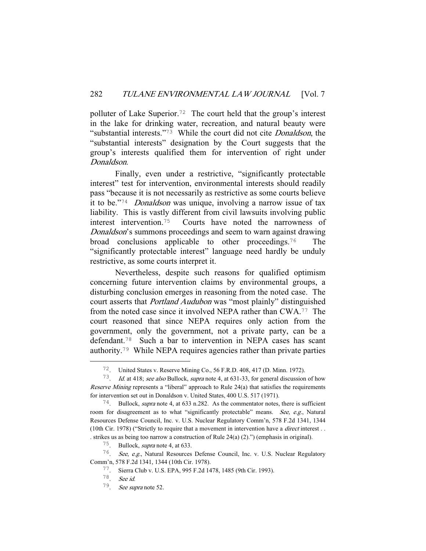polluter of Lake Superior.72 The court held that the group's interest in the lake for drinking water, recreation, and natural beauty were "substantial interests."73 While the court did not cite Donaldson, the "substantial interests" designation by the Court suggests that the group's interests qualified them for intervention of right under Donaldson.

 Finally, even under a restrictive, "significantly protectable interest" test for intervention, environmental interests should readily pass "because it is not necessarily as restrictive as some courts believe it to be."<sup>74</sup> Donaldson was unique, involving a narrow issue of tax liability. This is vastly different from civil lawsuits involving public interest intervention.75 Courts have noted the narrowness of Donaldson's summons proceedings and seem to warn against drawing broad conclusions applicable to other proceedings.76 The "significantly protectable interest" language need hardly be unduly restrictive, as some courts interpret it.

 Nevertheless, despite such reasons for qualified optimism concerning future intervention claims by environmental groups, a disturbing conclusion emerges in reasoning from the noted case. The court asserts that Portland Audubon was "most plainly" distinguished from the noted case since it involved NEPA rather than CWA.77 The court reasoned that since NEPA requires only action from the government, only the government, not a private party, can be a defendant.78 Such a bar to intervention in NEPA cases has scant authority.79 While NEPA requires agencies rather than private parties

 <sup>72</sup>. United States v. Reserve Mining Co., 56 F.R.D. 408, 417 (D. Minn. 1972).

<sup>73</sup>. Id. at 418; see also Bullock, supra note 4, at 631-33, for general discussion of how Reserve Mining represents a "liberal" approach to Rule  $24(a)$  that satisfies the requirements for intervention set out in Donaldson v. United States, 400 U.S. 517 (1971).

 $74$ . Bullock, *supra* note 4, at 633 n.282. As the commentator notes, there is sufficient room for disagreement as to what "significantly protectable" means. See, e.g., Natural Resources Defense Council, Inc. v. U.S. Nuclear Regulatory Comm'n, 578 F.2d 1341, 1344 (10th Cir. 1978) ("Strictly to require that a movement in intervention have a direct interest . . . strikes us as being too narrow a construction of Rule 24(a) (2).") (emphasis in original).

<sup>75</sup>. Bullock, supra note 4, at 633.

<sup>76</sup>. See, e.g., Natural Resources Defense Council, Inc. v. U.S. Nuclear Regulatory Comm'n, 578 F.2d 1341, 1344 (10th Cir. 1978).

<sup>77</sup>. Sierra Club v. U.S. EPA, 995 F.2d 1478, 1485 (9th Cir. 1993).

<sup>78</sup>. See id.

<sup>79</sup>. See supra note 52.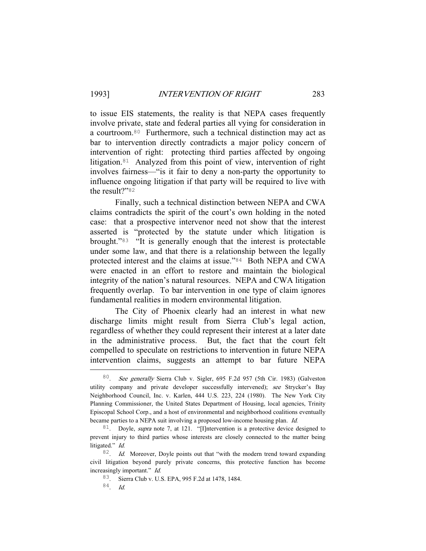to issue EIS statements, the reality is that NEPA cases frequently involve private, state and federal parties all vying for consideration in a courtroom.80 Furthermore, such a technical distinction may act as bar to intervention directly contradicts a major policy concern of intervention of right: protecting third parties affected by ongoing litigation.81 Analyzed from this point of view, intervention of right involves fairness—"is it fair to deny a non-party the opportunity to influence ongoing litigation if that party will be required to live with the result?"<sup>82</sup>

 Finally, such a technical distinction between NEPA and CWA claims contradicts the spirit of the court's own holding in the noted case: that a prospective intervenor need not show that the interest asserted is "protected by the statute under which litigation is brought."83 "It is generally enough that the interest is protectable under some law, and that there is a relationship between the legally protected interest and the claims at issue."84 Both NEPA and CWA were enacted in an effort to restore and maintain the biological integrity of the nation's natural resources. NEPA and CWA litigation frequently overlap. To bar intervention in one type of claim ignores fundamental realities in modern environmental litigation.

 The City of Phoenix clearly had an interest in what new discharge limits might result from Sierra Club's legal action, regardless of whether they could represent their interest at a later date in the administrative process. But, the fact that the court felt compelled to speculate on restrictions to intervention in future NEPA intervention claims, suggests an attempt to bar future NEPA

 <sup>80</sup>. See generally Sierra Club v. Sigler, 695 F.2d 957 (5th Cir. 1983) (Galveston utility company and private developer successfully intervened); see Strycker's Bay Neighborhood Council, Inc. v. Karlen, 444 U.S. 223, 224 (1980). The New York City Planning Commissioner, the United States Department of Housing, local agencies, Trinity Episcopal School Corp., and a host of environmental and neighborhood coalitions eventually became parties to a NEPA suit involving a proposed low-income housing plan. Id.

 $81.$  Doyle, *supra* note 7, at 121. "[I]ntervention is a protective device designed to prevent injury to third parties whose interests are closely connected to the matter being litigated." Id.

 $82$ . *Id.* Moreover, Doyle points out that "with the modern trend toward expanding civil litigation beyond purely private concerns, this protective function has become increasingly important." Id.

<sup>83</sup>. Sierra Club v. U.S. EPA, 995 F.2d at 1478, 1484.

<sup>84</sup>. Id.